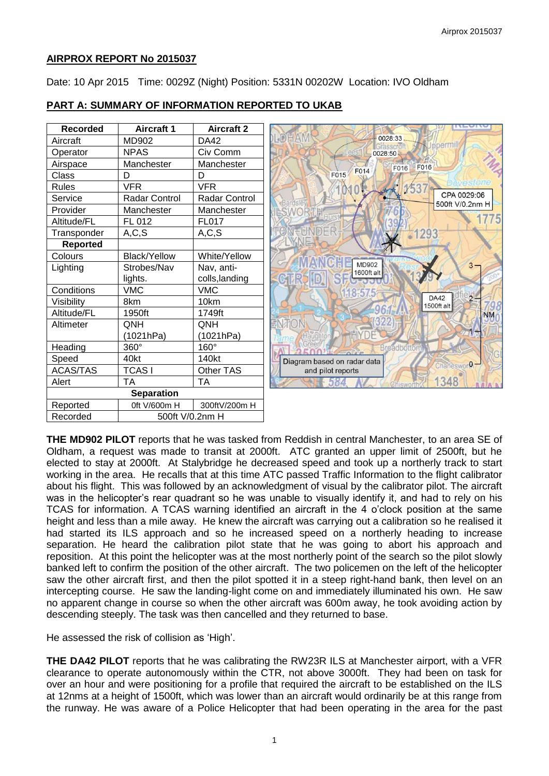## **AIRPROX REPORT No 2015037**

Date: 10 Apr 2015 Time: 0029Z (Night) Position: 5331N 00202W Location: IVO Oldham

| <b>Recorded</b>   | <b>Aircraft 1</b>    | <b>Aircraft 2</b>    |                             |                                |
|-------------------|----------------------|----------------------|-----------------------------|--------------------------------|
| Aircraft          | MD902                | <b>DA42</b>          | 0028:33                     |                                |
| Operator          | <b>NPAS</b>          | Civ Comm             | 0028:50                     |                                |
| Airspace          | Manchester           | Manchester           |                             | F016<br>F016                   |
| Class             | D                    | D                    | F014<br>F015                |                                |
| <b>Rules</b>      | <b>VFR</b>           | <b>VFR</b>           |                             |                                |
| Service           | <b>Radar Control</b> | <b>Radar Control</b> |                             | CPA 0029:06<br>500ft V/0.2nm H |
| Provider          | Manchester           | Manchester           | <b>ESWORT</b>               |                                |
| Altitude/FL       | FL 012               | <b>FL017</b>         |                             |                                |
| Transponder       | A, C, S              | A, C, S              |                             | -1293                          |
| <b>Reported</b>   |                      |                      |                             |                                |
| Colours           | <b>Black/Yellow</b>  | White/Yellow         |                             |                                |
| Lighting          | Strobes/Nav          | Nav, anti-           | <b>MD902</b><br>1600ft alt  |                                |
|                   | lights.              | colls, landing       |                             |                                |
| Conditions        | <b>VMC</b>           | <b>VMC</b>           | 8.575                       |                                |
| Visibility        | 8km                  | 10km                 |                             | <b>DA42</b><br>1500ft alt      |
| Altitude/FL       | 1950ft               | 1749ft               |                             |                                |
| Altimeter         | QNH                  | <b>ONH</b>           |                             |                                |
|                   | (1021hPa)            | (1021hPa)            |                             |                                |
| Heading           | 360°                 | 160°                 | <b>Broadbo</b>              |                                |
| Speed             | 40kt                 | 140kt                | Diagram based on radar data | Charleswor <sup>0</sup>        |
| <b>ACAS/TAS</b>   | <b>TCASI</b>         | Other TAS            | and pilot reports           |                                |
| Alert             | <b>TA</b>            | <b>TA</b>            |                             | 348                            |
| <b>Separation</b> |                      |                      |                             |                                |
| Reported          | 0ft V/600m H         | 300ftV/200m H        |                             |                                |
| Recorded          | 500ft V/0.2nm H      |                      |                             |                                |

# **PART A: SUMMARY OF INFORMATION REPORTED TO UKAB**

**THE MD902 PILOT** reports that he was tasked from Reddish in central Manchester, to an area SE of Oldham, a request was made to transit at 2000ft. ATC granted an upper limit of 2500ft, but he elected to stay at 2000ft. At Stalybridge he decreased speed and took up a northerly track to start working in the area. He recalls that at this time ATC passed Traffic Information to the flight calibrator about his flight. This was followed by an acknowledgment of visual by the calibrator pilot. The aircraft was in the helicopter's rear quadrant so he was unable to visually identify it, and had to rely on his TCAS for information. A TCAS warning identified an aircraft in the 4 o'clock position at the same height and less than a mile away. He knew the aircraft was carrying out a calibration so he realised it had started its ILS approach and so he increased speed on a northerly heading to increase separation. He heard the calibration pilot state that he was going to abort his approach and reposition. At this point the helicopter was at the most northerly point of the search so the pilot slowly banked left to confirm the position of the other aircraft. The two policemen on the left of the helicopter saw the other aircraft first, and then the pilot spotted it in a steep right-hand bank, then level on an intercepting course. He saw the landing-light come on and immediately illuminated his own. He saw no apparent change in course so when the other aircraft was 600m away, he took avoiding action by descending steeply. The task was then cancelled and they returned to base.

He assessed the risk of collision as 'High'.

**THE DA42 PILOT** reports that he was calibrating the RW23R ILS at Manchester airport, with a VFR clearance to operate autonomously within the CTR, not above 3000ft. They had been on task for over an hour and were positioning for a profile that required the aircraft to be established on the ILS at 12nms at a height of 1500ft, which was lower than an aircraft would ordinarily be at this range from the runway. He was aware of a Police Helicopter that had been operating in the area for the past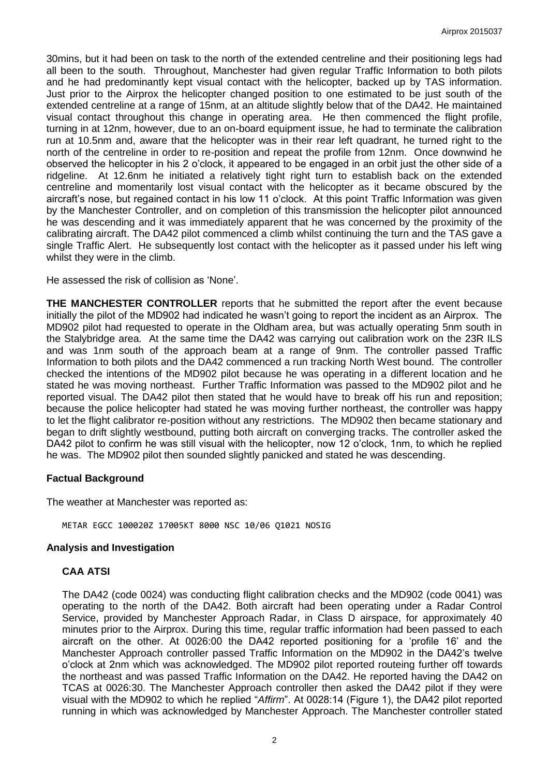30mins, but it had been on task to the north of the extended centreline and their positioning legs had all been to the south. Throughout, Manchester had given regular Traffic Information to both pilots and he had predominantly kept visual contact with the helicopter, backed up by TAS information. Just prior to the Airprox the helicopter changed position to one estimated to be just south of the extended centreline at a range of 15nm, at an altitude slightly below that of the DA42. He maintained visual contact throughout this change in operating area. He then commenced the flight profile, turning in at 12nm, however, due to an on-board equipment issue, he had to terminate the calibration run at 10.5nm and, aware that the helicopter was in their rear left quadrant, he turned right to the north of the centreline in order to re-position and repeat the profile from 12nm. Once downwind he observed the helicopter in his 2 o'clock, it appeared to be engaged in an orbit just the other side of a ridgeline. At 12.6nm he initiated a relatively tight right turn to establish back on the extended centreline and momentarily lost visual contact with the helicopter as it became obscured by the aircraft's nose, but regained contact in his low 11 o'clock. At this point Traffic Information was given by the Manchester Controller, and on completion of this transmission the helicopter pilot announced he was descending and it was immediately apparent that he was concerned by the proximity of the calibrating aircraft. The DA42 pilot commenced a climb whilst continuing the turn and the TAS gave a single Traffic Alert. He subsequently lost contact with the helicopter as it passed under his left wing whilst they were in the climb.

He assessed the risk of collision as 'None'.

**THE MANCHESTER CONTROLLER** reports that he submitted the report after the event because initially the pilot of the MD902 had indicated he wasn't going to report the incident as an Airprox. The MD902 pilot had requested to operate in the Oldham area, but was actually operating 5nm south in the Stalybridge area. At the same time the DA42 was carrying out calibration work on the 23R ILS and was 1nm south of the approach beam at a range of 9nm. The controller passed Traffic Information to both pilots and the DA42 commenced a run tracking North West bound. The controller checked the intentions of the MD902 pilot because he was operating in a different location and he stated he was moving northeast. Further Traffic Information was passed to the MD902 pilot and he reported visual. The DA42 pilot then stated that he would have to break off his run and reposition; because the police helicopter had stated he was moving further northeast, the controller was happy to let the flight calibrator re-position without any restrictions. The MD902 then became stationary and began to drift slightly westbound, putting both aircraft on converging tracks. The controller asked the DA42 pilot to confirm he was still visual with the helicopter, now 12 o'clock, 1nm, to which he replied he was. The MD902 pilot then sounded slightly panicked and stated he was descending.

### **Factual Background**

The weather at Manchester was reported as:

METAR EGCC 100020Z 17005KT 8000 NSC 10/06 Q1021 NOSIG

### **Analysis and Investigation**

### **CAA ATSI**

The DA42 (code 0024) was conducting flight calibration checks and the MD902 (code 0041) was operating to the north of the DA42. Both aircraft had been operating under a Radar Control Service, provided by Manchester Approach Radar, in Class D airspace, for approximately 40 minutes prior to the Airprox. During this time, regular traffic information had been passed to each aircraft on the other. At 0026:00 the DA42 reported positioning for a 'profile 16' and the Manchester Approach controller passed Traffic Information on the MD902 in the DA42's twelve o'clock at 2nm which was acknowledged. The MD902 pilot reported routeing further off towards the northeast and was passed Traffic Information on the DA42. He reported having the DA42 on TCAS at 0026:30. The Manchester Approach controller then asked the DA42 pilot if they were visual with the MD902 to which he replied "*Affirm*". At 0028:14 (Figure 1), the DA42 pilot reported running in which was acknowledged by Manchester Approach. The Manchester controller stated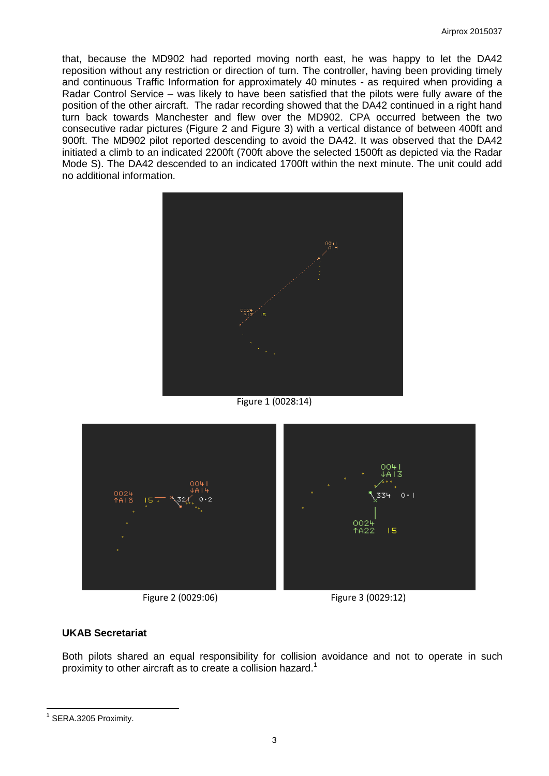that, because the MD902 had reported moving north east, he was happy to let the DA42 reposition without any restriction or direction of turn. The controller, having been providing timely and continuous Traffic Information for approximately 40 minutes - as required when providing a Radar Control Service – was likely to have been satisfied that the pilots were fully aware of the position of the other aircraft. The radar recording showed that the DA42 continued in a right hand turn back towards Manchester and flew over the MD902. CPA occurred between the two consecutive radar pictures (Figure 2 and Figure 3) with a vertical distance of between 400ft and 900ft. The MD902 pilot reported descending to avoid the DA42. It was observed that the DA42 initiated a climb to an indicated 2200ft (700ft above the selected 1500ft as depicted via the Radar Mode S). The DA42 descended to an indicated 1700ft within the next minute. The unit could add no additional information.



Figure 1 (0028:14)



Figure 2 (0029:06) Figure 3 (0029:12)

# **UKAB Secretariat**

Both pilots shared an equal responsibility for collision avoidance and not to operate in such proximity to other aircraft as to create a collision hazard.<sup>1</sup>

 $\overline{a}$ 

<sup>&</sup>lt;sup>1</sup> SERA.3205 Proximity.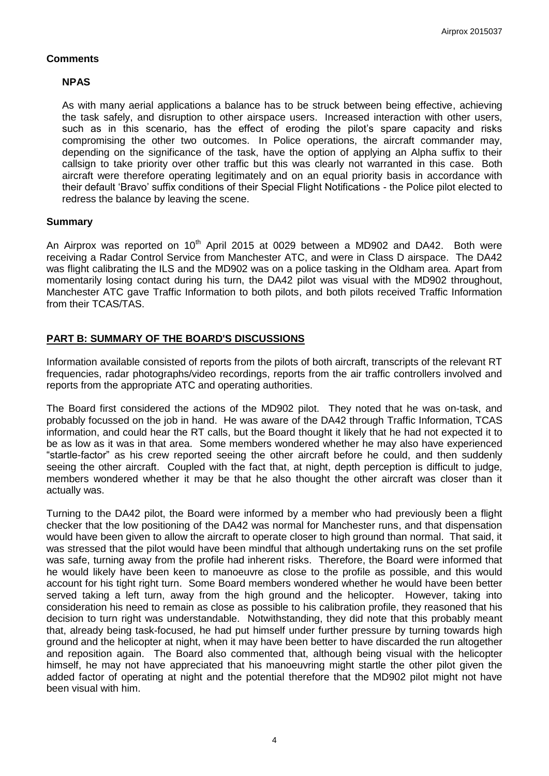## **Comments**

# **NPAS**

As with many aerial applications a balance has to be struck between being effective, achieving the task safely, and disruption to other airspace users. Increased interaction with other users, such as in this scenario, has the effect of eroding the pilot's spare capacity and risks compromising the other two outcomes. In Police operations, the aircraft commander may, depending on the significance of the task, have the option of applying an Alpha suffix to their callsign to take priority over other traffic but this was clearly not warranted in this case. Both aircraft were therefore operating legitimately and on an equal priority basis in accordance with their default 'Bravo' suffix conditions of their Special Flight Notifications - the Police pilot elected to redress the balance by leaving the scene.

## **Summary**

An Airprox was reported on  $10<sup>th</sup>$  April 2015 at 0029 between a MD902 and DA42. Both were receiving a Radar Control Service from Manchester ATC, and were in Class D airspace. The DA42 was flight calibrating the ILS and the MD902 was on a police tasking in the Oldham area. Apart from momentarily losing contact during his turn, the DA42 pilot was visual with the MD902 throughout, Manchester ATC gave Traffic Information to both pilots, and both pilots received Traffic Information from their TCAS/TAS.

# **PART B: SUMMARY OF THE BOARD'S DISCUSSIONS**

Information available consisted of reports from the pilots of both aircraft, transcripts of the relevant RT frequencies, radar photographs/video recordings, reports from the air traffic controllers involved and reports from the appropriate ATC and operating authorities.

The Board first considered the actions of the MD902 pilot. They noted that he was on-task, and probably focussed on the job in hand. He was aware of the DA42 through Traffic Information, TCAS information, and could hear the RT calls, but the Board thought it likely that he had not expected it to be as low as it was in that area. Some members wondered whether he may also have experienced "startle-factor" as his crew reported seeing the other aircraft before he could, and then suddenly seeing the other aircraft. Coupled with the fact that, at night, depth perception is difficult to judge, members wondered whether it may be that he also thought the other aircraft was closer than it actually was.

Turning to the DA42 pilot, the Board were informed by a member who had previously been a flight checker that the low positioning of the DA42 was normal for Manchester runs, and that dispensation would have been given to allow the aircraft to operate closer to high ground than normal. That said, it was stressed that the pilot would have been mindful that although undertaking runs on the set profile was safe, turning away from the profile had inherent risks. Therefore, the Board were informed that he would likely have been keen to manoeuvre as close to the profile as possible, and this would account for his tight right turn. Some Board members wondered whether he would have been better served taking a left turn, away from the high ground and the helicopter. However, taking into consideration his need to remain as close as possible to his calibration profile, they reasoned that his decision to turn right was understandable. Notwithstanding, they did note that this probably meant that, already being task-focused, he had put himself under further pressure by turning towards high ground and the helicopter at night, when it may have been better to have discarded the run altogether and reposition again. The Board also commented that, although being visual with the helicopter himself, he may not have appreciated that his manoeuvring might startle the other pilot given the added factor of operating at night and the potential therefore that the MD902 pilot might not have been visual with him.